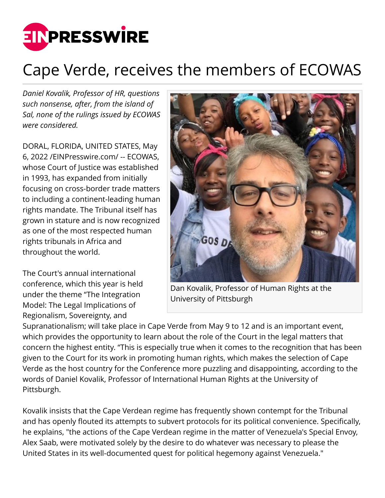

## Cape Verde, receives the members of ECOWAS

*Daniel Kovalik, Professor of HR, questions such nonsense, after, from the island of Sal, none of the rulings issued by ECOWAS were considered.*

DORAL, FLORIDA, UNITED STATES, May 6, 2022 /[EINPresswire.com/](http://www.einpresswire.com) -- ECOWAS, whose Court of Justice was established in 1993, has expanded from initially focusing on cross-border trade matters to including a continent-leading human rights mandate. The Tribunal itself has grown in stature and is now recognized as one of the most respected human rights tribunals in Africa and throughout the world.

The Court's annual international conference, which this year is held under the theme "The Integration Model: The Legal Implications of Regionalism, Sovereignty, and



Dan Kovalik, Professor of Human Rights at the University of Pittsburgh

Supranationalism; will take place in Cape Verde from May 9 to 12 and is an important event, which provides the opportunity to learn about the role of the Court in the legal matters that concern the highest entity. "This is especially true when it comes to the recognition that has been given to the Court for its work in promoting human rights, which makes the selection of Cape Verde as the host country for the Conference more puzzling and disappointing, according to the words of Daniel Kovalik, Professor of International Human Rights at the University of Pittsburgh.

Kovalik insists that the Cape Verdean regime has frequently shown contempt for the Tribunal and has openly flouted its attempts to subvert protocols for its political convenience. Specifically, he explains, "the actions of the Cape Verdean regime in the matter of Venezuela's Special Envoy, Alex Saab, were motivated solely by the desire to do whatever was necessary to please the United States in its well-documented quest for political hegemony against Venezuela."